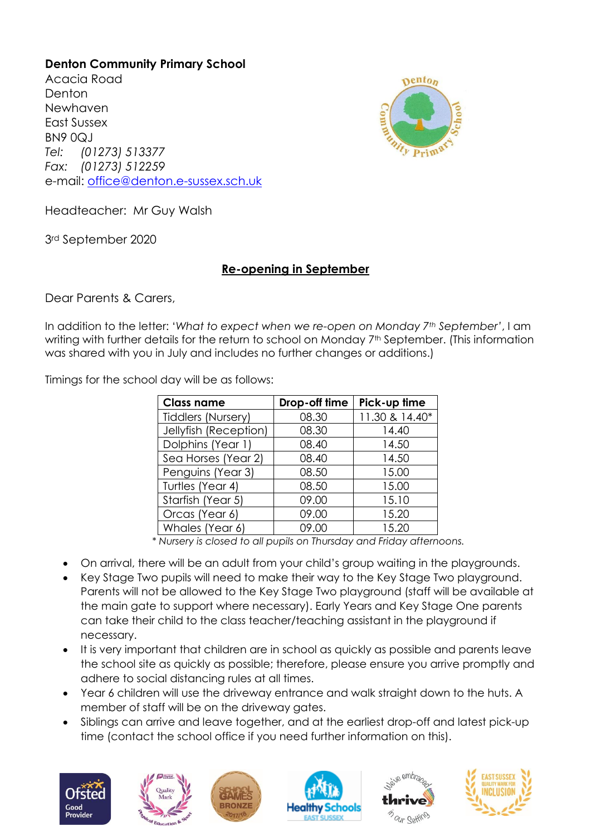## **Denton Community Primary School**

Acacia Road **Denton** Newhaven East Sussex BN9 0QJ *Tel: (01273) 513377 Fax: (01273) 512259* e-mail: [office@denton.e-sussex.sch.uk](mailto:office@denton.e-sussex.sch.uk)



Headteacher: Mr Guy Walsh

3rd September 2020

## **Re-opening in September**

Dear Parents & Carers,

In addition to the letter: '*What to expect when we re-open on Monday 7th September'*, I am writing with further details for the return to school on Monday 7<sup>th</sup> September. (This information was shared with you in July and includes no further changes or additions.)

Timings for the school day will be as follows:

| <b>Class name</b>         | Drop-off time | Pick-up time   |
|---------------------------|---------------|----------------|
| <b>Tiddlers (Nursery)</b> | 08.30         | 11.30 & 14.40* |
| Jellyfish (Reception)     | 08.30         | 14.40          |
| Dolphins (Year 1)         | 08.40         | 14.50          |
| Sea Horses (Year 2)       | 08.40         | 14.50          |
| Penguins (Year 3)         | 08.50         | 15.00          |
| Turtles (Year 4)          | 08.50         | 15.00          |
| Starfish (Year 5)         | 09.00         | 15.10          |
| Orcas (Year 6)            | 09.00         | 15.20          |
| Whales (Year 6)           | 09.00         | 15.20          |

\* *Nursery is closed to all pupils on Thursday and Friday afternoons.*

- On arrival, there will be an adult from your child's group waiting in the playgrounds.
- Key Stage Two pupils will need to make their way to the Key Stage Two playground. Parents will not be allowed to the Key Stage Two playground (staff will be available at the main gate to support where necessary). Early Years and Key Stage One parents can take their child to the class teacher/teaching assistant in the playground if necessary.
- It is very important that children are in school as quickly as possible and parents leave the school site as quickly as possible; therefore, please ensure you arrive promptly and adhere to social distancing rules at all times.
- Year 6 children will use the driveway entrance and walk straight down to the huts. A member of staff will be on the driveway gates.
- Siblings can arrive and leave together, and at the earliest drop-off and latest pick-up time (contact the school office if you need further information on this).